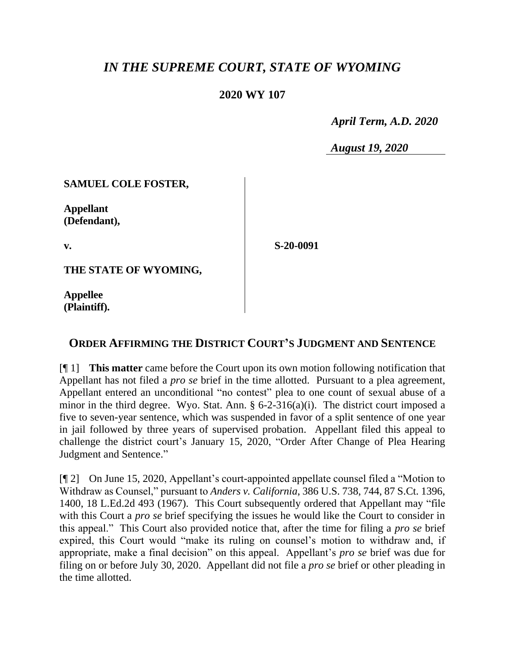# *IN THE SUPREME COURT, STATE OF WYOMING*

### **2020 WY 107**

 *April Term, A.D. 2020*

*August 19, 2020*

### **SAMUEL COLE FOSTER,**

**Appellant (Defendant),**

**v.**

**S-20-0091**

**THE STATE OF WYOMING,**

**Appellee (Plaintiff).**

## **ORDER AFFIRMING THE DISTRICT COURT'S JUDGMENT AND SENTENCE**

[¶ 1] **This matter** came before the Court upon its own motion following notification that Appellant has not filed a *pro se* brief in the time allotted. Pursuant to a plea agreement, Appellant entered an unconditional "no contest" plea to one count of sexual abuse of a minor in the third degree. Wyo. Stat. Ann. § 6-2-316(a)(i). The district court imposed a five to seven-year sentence, which was suspended in favor of a split sentence of one year in jail followed by three years of supervised probation. Appellant filed this appeal to challenge the district court's January 15, 2020, "Order After Change of Plea Hearing Judgment and Sentence."

[¶ 2] On June 15, 2020, Appellant's court-appointed appellate counsel filed a "Motion to Withdraw as Counsel," pursuant to *Anders v. California*, 386 U.S. 738, 744, 87 S.Ct. 1396, 1400, 18 L.Ed.2d 493 (1967). This Court subsequently ordered that Appellant may "file with this Court a *pro se* brief specifying the issues he would like the Court to consider in this appeal." This Court also provided notice that, after the time for filing a *pro se* brief expired, this Court would "make its ruling on counsel's motion to withdraw and, if appropriate, make a final decision" on this appeal. Appellant's *pro se* brief was due for filing on or before July 30, 2020. Appellant did not file a *pro se* brief or other pleading in the time allotted.